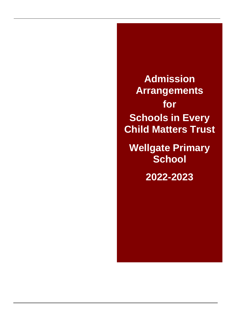**Admission Arrangements for Schools in Every Child Matters Trust Wellgate Primary School 2022-2023**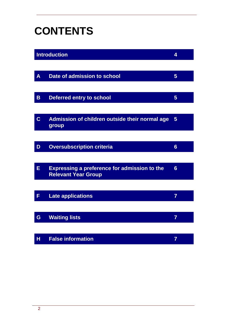# **CONTENTS**

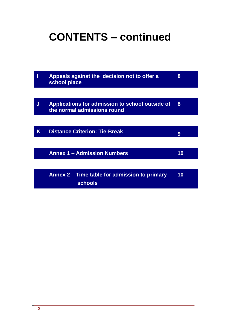# **CONTENTS – continued**

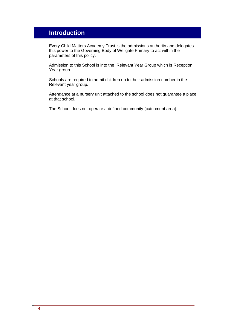## **Introduction**

Every Child Matters Academy Trust is the admissions authority and delegates this power to the Governing Body of Wellgate Primary to act within the parameters of this policy.

Admission to this School is into the Relevant Year Group which is Reception Year group.

Schools are required to admit children up to their admission number in the Relevant year group.

Attendance at a nursery unit attached to the school does not guarantee a place at that school.

The School does not operate a defined community (catchment area).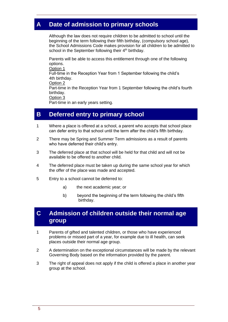## **A Date of admission to primary schools**

Although the law does not require children to be admitted to school until the beginning of the term following their fifth birthday, (compulsory school age), the School Admissions Code makes provision for all children to be admitted to school in the September following their 4<sup>th</sup> birthday.

Parents will be able to access this entitlement through one of the following options.

Option 1 Full-time in the Reception Year from 1 September following the child's 4th birthday. Option 2 Part-time in the Reception Year from 1 September following the child's fourth birthday.

Option 3

Part-time in an early years setting.

#### **B Deferred entry to primary school**

- 1 Where a place is offered at a school, a parent who accepts that school place can defer entry to that school until the term after the child's fifth birthday.
- 2 There may be Spring and Summer Term admissions as a result of parents who have deferred their child's entry.
- 3 The deferred place at that school will be held for that child and will not be available to be offered to another child.
- 4 The deferred place must be taken up during the same school year for which the offer of the place was made and accepted.
- 5 Entry to a school cannot be deferred to:
	- a) the next academic year; or
	- b) beyond the beginning of the term following the child's fifth birthday.

#### **C Admission of children outside their normal age group**

- 1 Parents of gifted and talented children, or those who have experienced problems or missed part of a year, for example due to ill health, can seek places outside their normal age group.
- 2 A determination on the exceptional circumstances will be made by the relevant Governing Body based on the information provided by the parent.
- 3 The right of appeal does not apply if the child is offered a place in another year group at the school.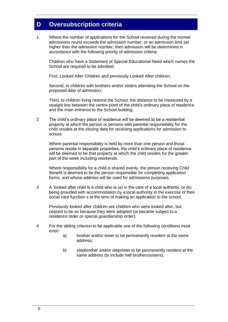### **D Oversubscription criteria**

1 Where the number of applications for the School received during the normal admissions round exceeds the admission number, or an admission limit set higher than the admission number, then admission will be determined in accordance with the following priority of admission criteria:

Children who have a Statement of Special Educational Need which names the School are required to be admitted.

First, Looked After Children and previously Looked After children;

Second, to children with brothers and/or sisters attending the School on the proposed date of admission;

Third, to children living nearest the School; the distance to be measured by a straight line between the centre point of the child's ordinary place of residence and the main entrance to the School building.

 $\mathfrak{D}$ The child's ordinary place of residence will be deemed to be a residential property at which the person or persons with parental responsibility for the child resides at the closing date for receiving applications for admission to school.

Where parental responsibility is held by more than one person and those persons reside in separate properties, the child's ordinary place of residence will be deemed to be that property at which the child resides for the greater part of the week including weekends.

Where responsibility for a child is shared evenly, the person receiving Child Benefit is deemed to be the person responsible for completing application forms, and whose address will be used for admissions purposes.

3 A 'looked after child is a child who is (a) in the care of a local authority, or (b) being provided with accommodation by a local authority in the exercise of their social care function s at the time of making an application to the school.

Previously looked after children are children who were looked after, but ceased to be so because they were adopted (or became subject to a residence order or special guardianship order).

- 4 For the sibling criterion to be applicable one of the following conditions must exist**:**
	- a) brother and/or sister to be permanently resident at the same address;
	- b) stepbrother and/or stepsister to be permanently resident at the same address (to include half brothers/sisters).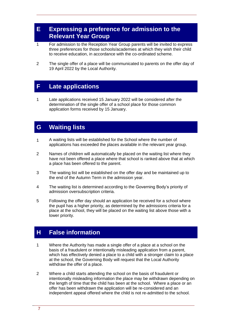#### **E Expressing a preference for admission to the Relevant Year Group**

- 1 For admission to the Reception Year Group parents will be invited to express three preferences for those schools/academies at which they wish their child to receive education, in accordance with the co-ordinated scheme.
- 2 The single offer of a place will be communicated to parents on the offer day of 19 April 2022 by the Local Authority.

#### **F Late applications**

1 Late applications received 15 January 2022 will be considered after the determination of the single offer of a school place for those common application forms received by 15 January.

#### **G Waiting lists**

- 1 A waiting lists will be established for the School where the number of applications has exceeded the places available in the relevant year group.
- 2 Names of children will automatically be placed on the waiting list where they have not been offered a place where that school is ranked above that at which a place has been offered to the parent.
- 3 The waiting list will be established on the offer day and be maintained up to the end of the Autumn Term in the admission year.
- 4 The waiting list is determined according to the Governing Body's priority of admission oversubscription criteria.
- 5 Following the offer day should an application be received for a school where the pupil has a higher priority, as determined by the admissions criteria for a place at the school, they will be placed on the waiting list above those with a lower priority.

#### **H False information**

- 1 Where the Authority has made a single offer of a place at a school on the basis of a fraudulent or intentionally misleading application from a parent, which has effectively denied a place to a child with a stronger claim to a place at the school, the Governing Body will request that the Local Authority withdraw the offer of a place.
- 2 Where a child starts attending the school on the basis of fraudulent or intentionally misleading information the place may be withdrawn depending on the length of time that the child has been at the school. Where a place or an offer has been withdrawn the application will be re-considered and an independent appeal offered where the child is not re-admitted to the school.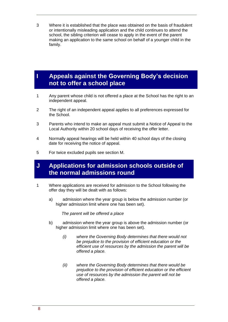3 Where it is established that the place was obtained on the basis of fraudulent or intentionally misleading application and the child continues to attend the school, the sibling criterion will cease to apply in the event of the parent making an application to the same school on behalf of a younger child in the family.

#### **I Appeals against the Governing Body's decision not to offer a school place**

- 1 Any parent whose child is not offered a place at the School has the right to an independent appeal.
- 2 The right of an independent appeal applies to all preferences expressed for the School.
- 3 Parents who intend to make an appeal must submit a Notice of Appeal to the Local Authority within 20 school days of receiving the offer letter.
- 4 Normally appeal hearings will be held within 40 school days of the closing date for receiving the notice of appeal.
- 5 For twice excluded pupils see section M.

#### **J Applications for admission schools outside of the normal admissions round**

- 1 Where applications are received for admission to the School following the offer day they will be dealt with as follows:
	- a) admission where the year group is below the admission number (or higher admission limit where one has been set).

*The parent will be offered a place*

- b) admission where the year group is above the admission number (or higher admission limit where one has been set).
	- *(i) where the Governing Body determines that there would not be prejudice to the provision of efficient education or the efficient use of resources by the admission the parent will be offered a place.*
	- *(ii) where the Governing Body determines that there would be prejudice to the provision of efficient education or the efficient use of resources by the admission the parent will not be offered a place.*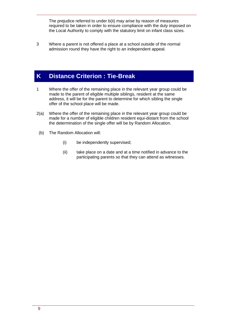The prejudice referred to under b(ii) may arise by reason of measures required to be taken in order to ensure compliance with the duty imposed on the Local Authority to comply with the statutory limit on infant class sizes.

3 Where a parent is not offered a place at a school outside of the normal admission round they have the right to an independent appeal.

### **K Distance Criterion : Tie-Break**

- 1 Where the offer of the remaining place in the relevant year group could be made to the parent of eligible multiple siblings, resident at the same address, it will be for the parent to determine for which sibling the single offer of the school place will be made.
- 2(a) Where the offer of the remaining place in the relevant year group could be made for a number of eligible children resident equi-distant from the school the determination of the single offer will be by Random Allocation.
	- (b) The Random Allocation will:
		- (i) be independently supervised;
		- (ii) take place on a date and at a time notified in advance to the participating parents so that they can attend as witnesses.